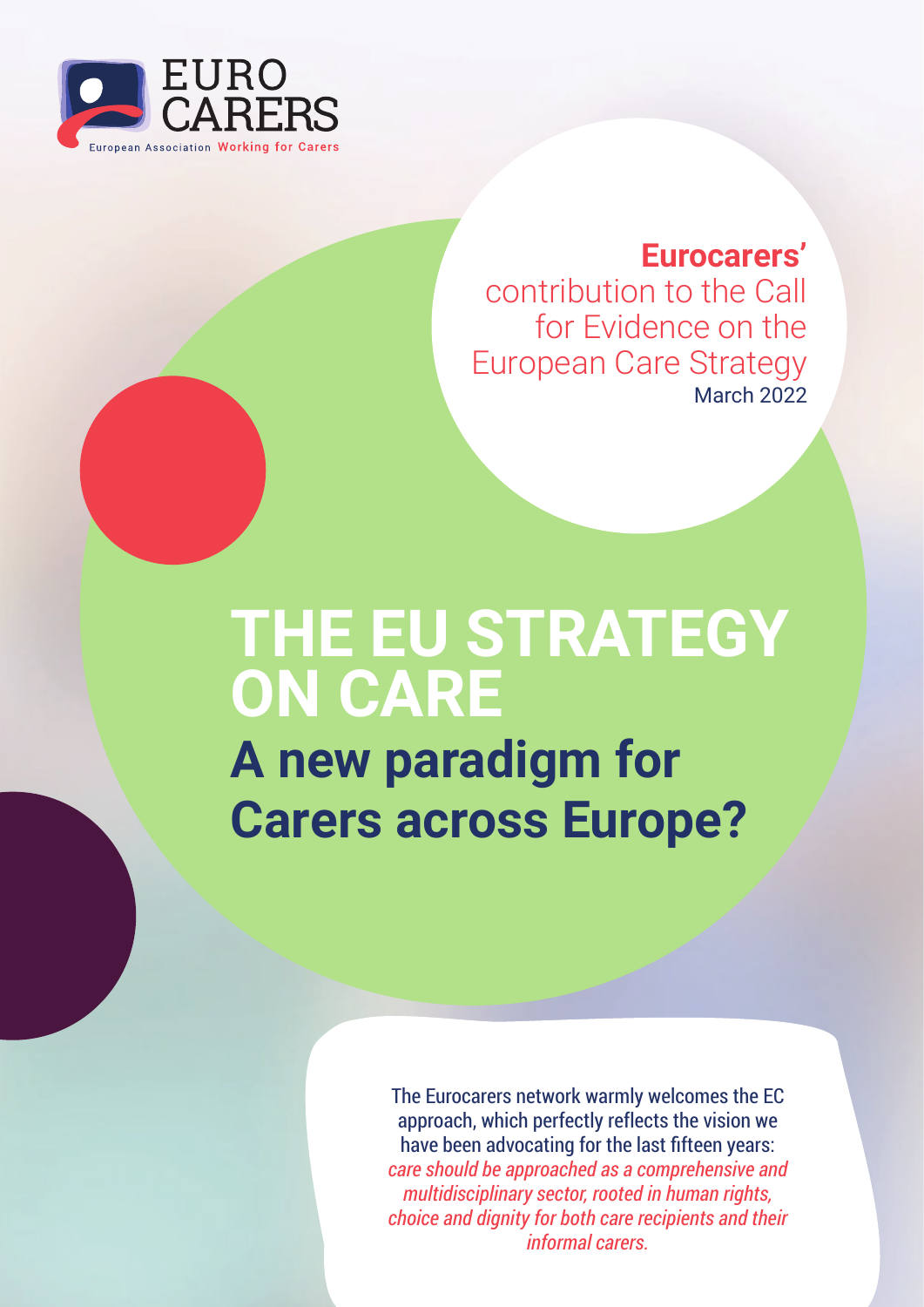

# **Eurocarers'**

contribution to the Call for Evidence on the European Care Strategy March 2022

# **THE EU STRATEGY ON CARE A new paradigm for**

**Carers across Europe?**

The Eurocarers network warmly welcomes the EC approach, which perfectly reflects the vision we have been advocating for the last fifteen years: *care should be approached as a comprehensive and multidisciplinary sector, rooted in human rights, choice and dignity for both care recipients and their informal carers.*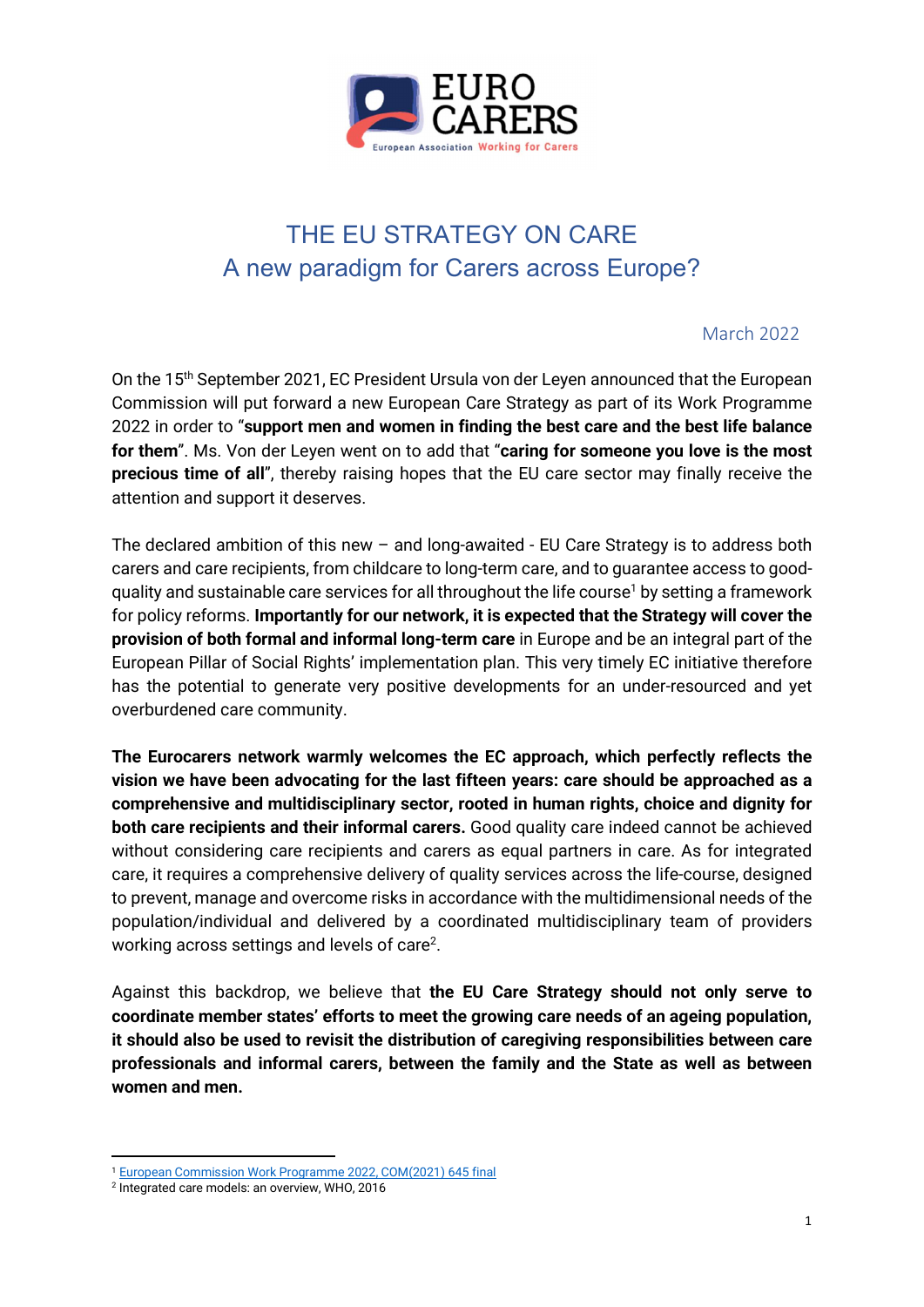

# THE EU STRATEGY ON CARE A new paradigm for Carers across Europe?

#### March 2022

On the 15<sup>th</sup> September 2021, EC President Ursula von der Leyen announced that the European Commission will put forward a new European Care Strategy as part of its Work Programme 2022 in order to "support men and women in finding the best care and the best life balance for them". Ms. Von der Leyen went on to add that "caring for someone you love is the most precious time of all", thereby raising hopes that the EU care sector may finally receive the attention and support it deserves.

The declared ambition of this new – and long-awaited - EU Care Strategy is to address both carers and care recipients, from childcare to long-term care, and to guarantee access to goodquality and sustainable care services for all throughout the life course<sup>1</sup> by setting a framework for policy reforms. Importantly for our network, it is expected that the Strategy will cover the provision of both formal and informal long-term care in Europe and be an integral part of the European Pillar of Social Rights' implementation plan. This very timely EC initiative therefore has the potential to generate very positive developments for an under-resourced and yet overburdened care community.

The Eurocarers network warmly welcomes the EC approach, which perfectly reflects the vision we have been advocating for the last fifteen years: care should be approached as a comprehensive and multidisciplinary sector, rooted in human rights, choice and dignity for both care recipients and their informal carers. Good quality care indeed cannot be achieved without considering care recipients and carers as equal partners in care. As for integrated care, it requires a comprehensive delivery of quality services across the life-course, designed to prevent, manage and overcome risks in accordance with the multidimensional needs of the population/individual and delivered by a coordinated multidisciplinary team of providers working across settings and levels of care<sup>2</sup>.

Against this backdrop, we believe that the EU Care Strategy should not only serve to coordinate member states' efforts to meet the growing care needs of an ageing population, it should also be used to revisit the distribution of caregiving responsibilities between care professionals and informal carers, between the family and the State as well as between women and men.

<sup>1</sup> European Commission Work Programme 2022, COM(2021) 645 final

<sup>2</sup> Integrated care models: an overview, WHO, 2016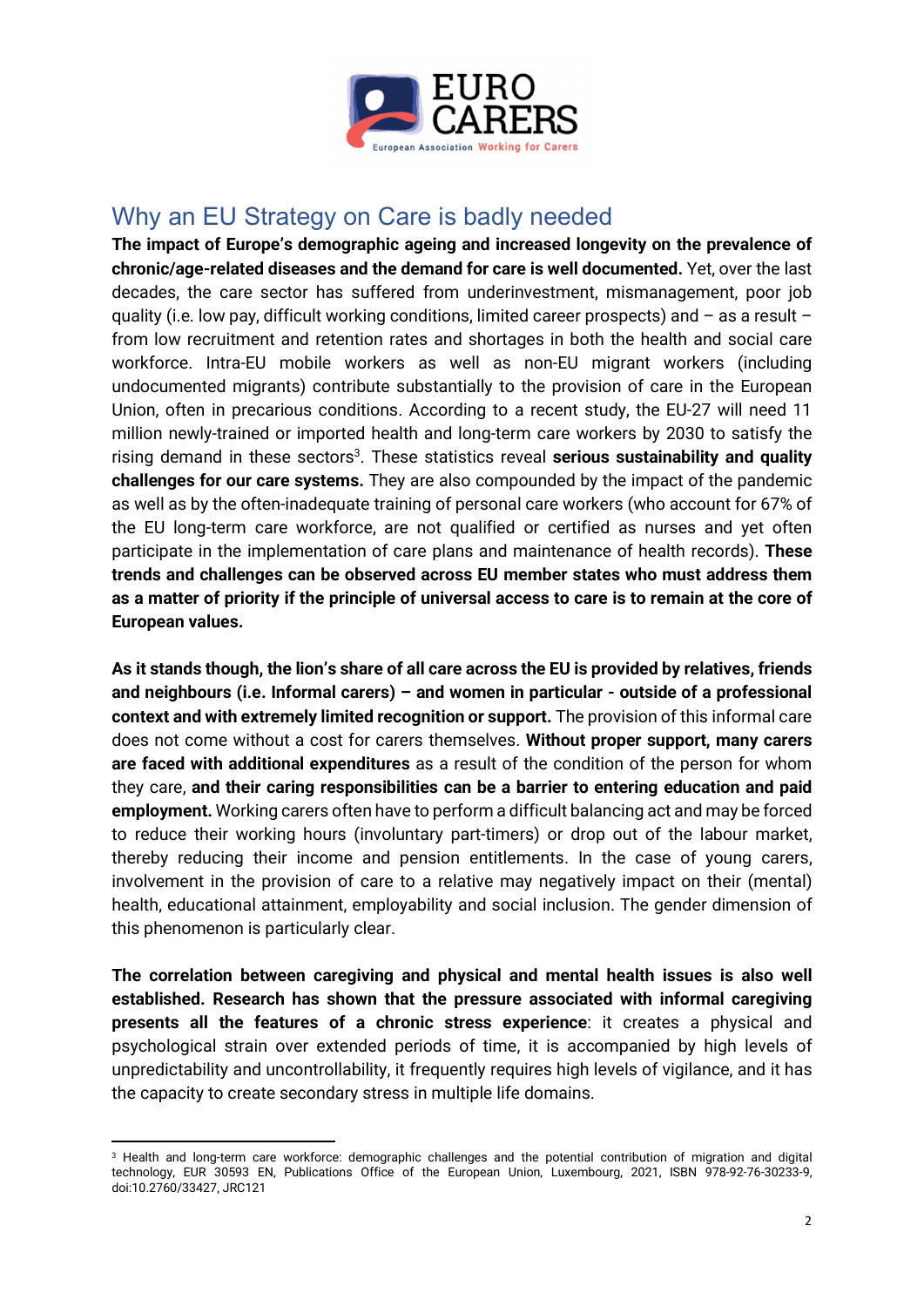

## Why an EU Strategy on Care is badly needed

The impact of Europe's demographic ageing and increased longevity on the prevalence of chronic/age-related diseases and the demand for care is well documented. Yet, over the last decades, the care sector has suffered from underinvestment, mismanagement, poor job quality (i.e. low pay, difficult working conditions, limited career prospects) and  $-$  as a result  $$ from low recruitment and retention rates and shortages in both the health and social care workforce. Intra-EU mobile workers as well as non-EU migrant workers (including undocumented migrants) contribute substantially to the provision of care in the European Union, often in precarious conditions. According to a recent study, the EU-27 will need 11 million newly-trained or imported health and long-term care workers by 2030 to satisfy the rising demand in these sectors<sup>3</sup>. These statistics reveal serious sustainability and quality challenges for our care systems. They are also compounded by the impact of the pandemic as well as by the often-inadequate training of personal care workers (who account for 67% of the EU long-term care workforce, are not qualified or certified as nurses and yet often participate in the implementation of care plans and maintenance of health records). These trends and challenges can be observed across EU member states who must address them as a matter of priority if the principle of universal access to care is to remain at the core of European values.

As it stands though, the lion's share of all care across the EU is provided by relatives, friends and neighbours (i.e. Informal carers) – and women in particular - outside of a professional context and with extremely limited recognition or support. The provision of this informal care does not come without a cost for carers themselves. Without proper support, many carers are faced with additional expenditures as a result of the condition of the person for whom they care, and their caring responsibilities can be a barrier to entering education and paid employment. Working carers often have to perform a difficult balancing act and may be forced to reduce their working hours (involuntary part-timers) or drop out of the labour market, thereby reducing their income and pension entitlements. In the case of young carers, involvement in the provision of care to a relative may negatively impact on their (mental) health, educational attainment, employability and social inclusion. The gender dimension of this phenomenon is particularly clear.

The correlation between caregiving and physical and mental health issues is also well established. Research has shown that the pressure associated with informal caregiving presents all the features of a chronic stress experience: it creates a physical and psychological strain over extended periods of time, it is accompanied by high levels of unpredictability and uncontrollability, it frequently requires high levels of vigilance, and it has the capacity to create secondary stress in multiple life domains.

<sup>3</sup> Health and long-term care workforce: demographic challenges and the potential contribution of migration and digital technology, EUR 30593 EN, Publications Office of the European Union, Luxembourg, 2021, ISBN 978-92-76-30233-9, doi:10.2760/33427, JRC121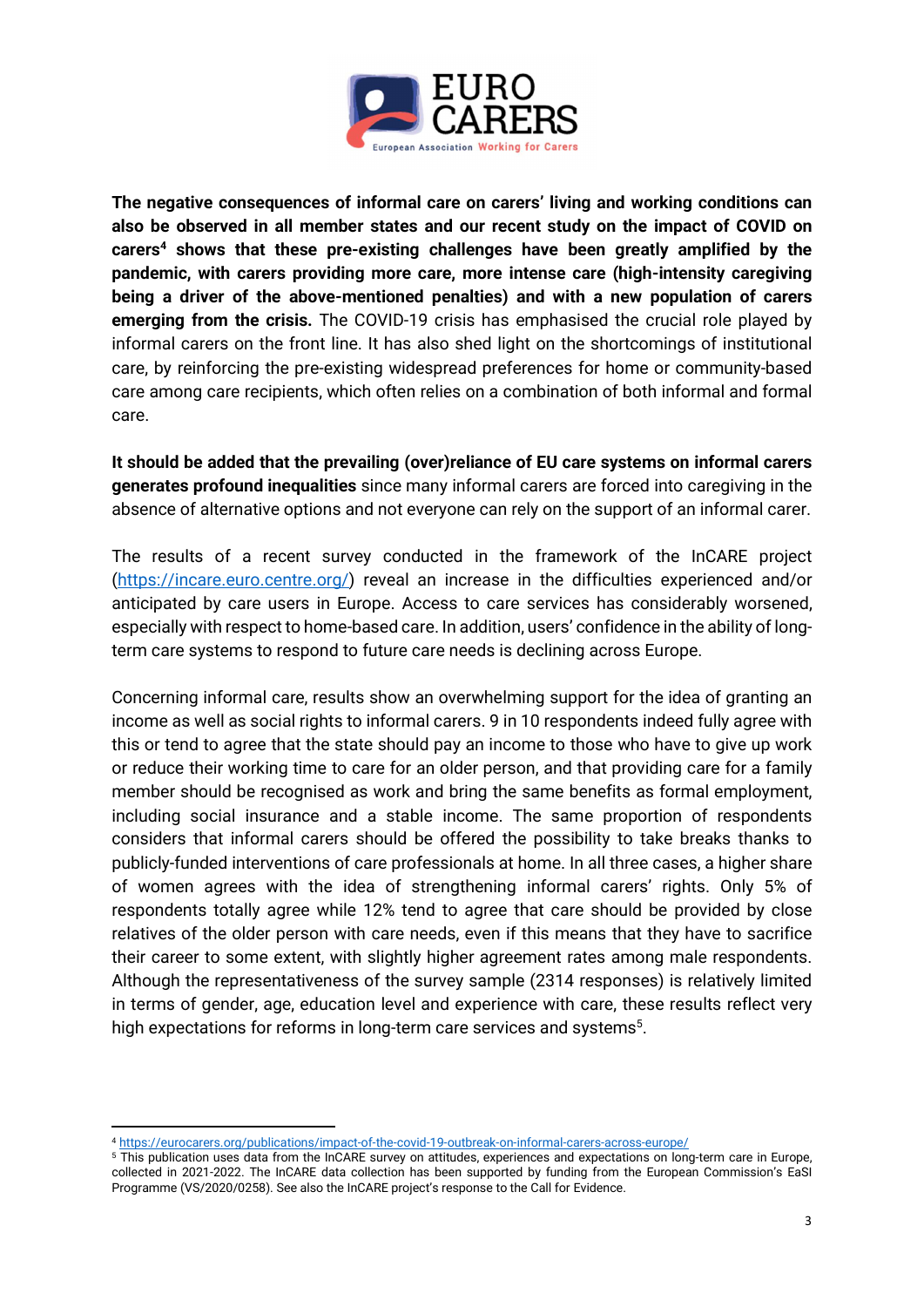

The negative consequences of informal care on carers' living and working conditions can also be observed in all member states and our recent study on the impact of COVID on carers<sup>4</sup> shows that these pre-existing challenges have been greatly amplified by the pandemic, with carers providing more care, more intense care (high-intensity caregiving being a driver of the above-mentioned penalties) and with a new population of carers emerging from the crisis. The COVID-19 crisis has emphasised the crucial role played by informal carers on the front line. It has also shed light on the shortcomings of institutional care, by reinforcing the pre-existing widespread preferences for home or community-based care among care recipients, which often relies on a combination of both informal and formal care.

It should be added that the prevailing (over)reliance of EU care systems on informal carers generates profound inequalities since many informal carers are forced into caregiving in the absence of alternative options and not everyone can rely on the support of an informal carer.

The results of a recent survey conducted in the framework of the InCARE project (https://incare.euro.centre.org/) reveal an increase in the difficulties experienced and/or anticipated by care users in Europe. Access to care services has considerably worsened, especially with respect to home-based care. In addition, users' confidence in the ability of longterm care systems to respond to future care needs is declining across Europe.

Concerning informal care, results show an overwhelming support for the idea of granting an income as well as social rights to informal carers. 9 in 10 respondents indeed fully agree with this or tend to agree that the state should pay an income to those who have to give up work or reduce their working time to care for an older person, and that providing care for a family member should be recognised as work and bring the same benefits as formal employment, including social insurance and a stable income. The same proportion of respondents considers that informal carers should be offered the possibility to take breaks thanks to publicly-funded interventions of care professionals at home. In all three cases, a higher share of women agrees with the idea of strengthening informal carers' rights. Only 5% of respondents totally agree while 12% tend to agree that care should be provided by close relatives of the older person with care needs, even if this means that they have to sacrifice their career to some extent, with slightly higher agreement rates among male respondents. Although the representativeness of the survey sample (2314 responses) is relatively limited in terms of gender, age, education level and experience with care, these results reflect very high expectations for reforms in long-term care services and systems<sup>5</sup>.

<sup>4</sup> https://eurocarers.org/publications/impact-of-the-covid-19-outbreak-on-informal-carers-across-europe/

<sup>5</sup> This publication uses data from the InCARE survey on attitudes, experiences and expectations on long-term care in Europe, collected in 2021-2022. The InCARE data collection has been supported by funding from the European Commission's EaSI Programme (VS/2020/0258). See also the InCARE project's response to the Call for Evidence.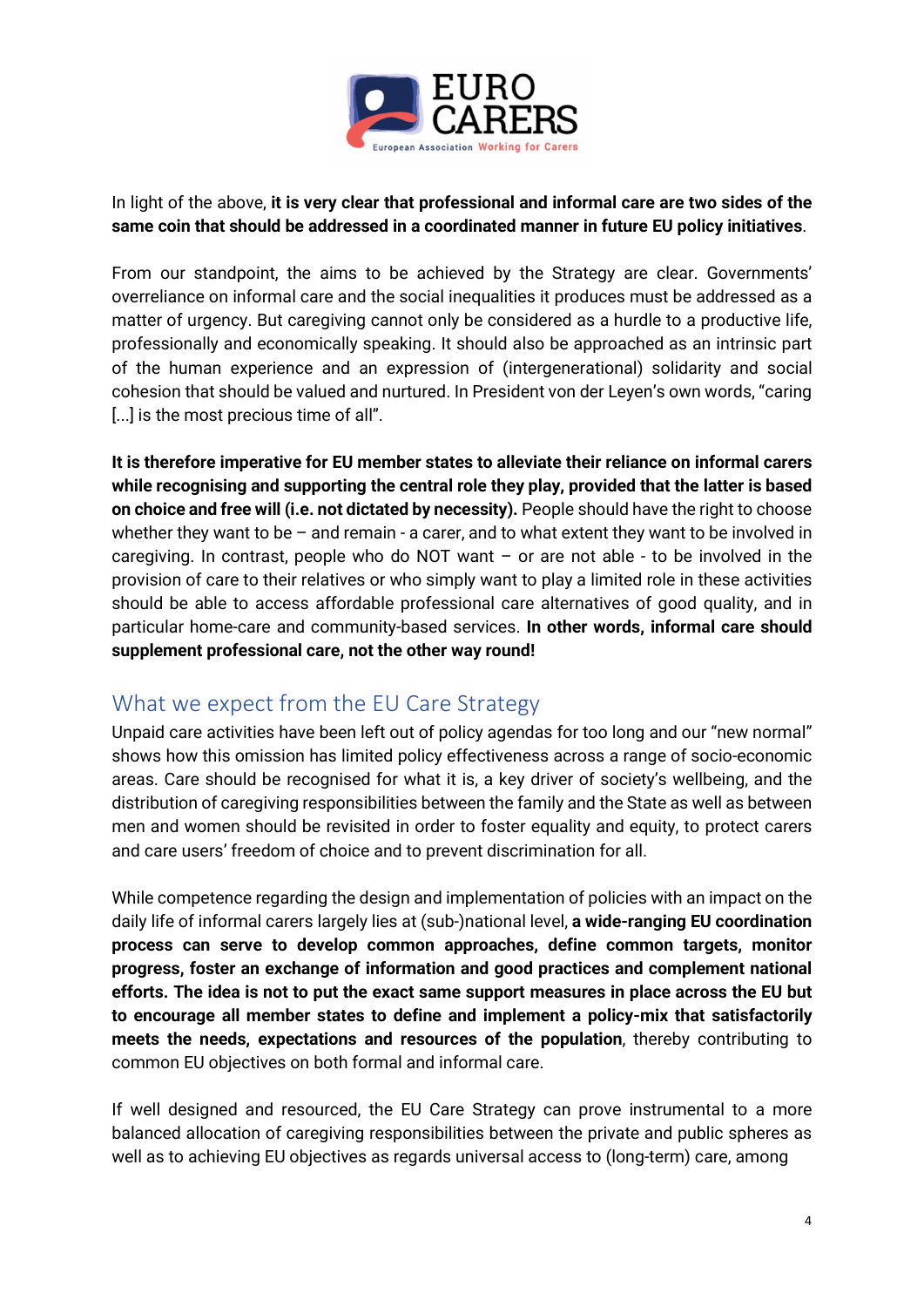

#### In light of the above, it is very clear that professional and informal care are two sides of the same coin that should be addressed in a coordinated manner in future EU policy initiatives.

From our standpoint, the aims to be achieved by the Strategy are clear. Governments' overreliance on informal care and the social inequalities it produces must be addressed as a matter of urgency. But caregiving cannot only be considered as a hurdle to a productive life, professionally and economically speaking. It should also be approached as an intrinsic part of the human experience and an expression of (intergenerational) solidarity and social cohesion that should be valued and nurtured. In President von der Leyen's own words, "caring [...] is the most precious time of all".

It is therefore imperative for EU member states to alleviate their reliance on informal carers while recognising and supporting the central role they play, provided that the latter is based on choice and free will (i.e. not dictated by necessity). People should have the right to choose whether they want to be  $-$  and remain - a carer, and to what extent they want to be involved in caregiving. In contrast, people who do NOT want – or are not able - to be involved in the provision of care to their relatives or who simply want to play a limited role in these activities should be able to access affordable professional care alternatives of good quality, and in particular home-care and community-based services. In other words, informal care should supplement professional care, not the other way round!

### What we expect from the EU Care Strategy

Unpaid care activities have been left out of policy agendas for too long and our "new normal" shows how this omission has limited policy effectiveness across a range of socio-economic areas. Care should be recognised for what it is, a key driver of society's wellbeing, and the distribution of caregiving responsibilities between the family and the State as well as between men and women should be revisited in order to foster equality and equity, to protect carers and care users' freedom of choice and to prevent discrimination for all.

While competence regarding the design and implementation of policies with an impact on the daily life of informal carers largely lies at (sub-)national level, a wide-ranging EU coordination process can serve to develop common approaches, define common targets, monitor progress, foster an exchange of information and good practices and complement national efforts. The idea is not to put the exact same support measures in place across the EU but to encourage all member states to define and implement a policy-mix that satisfactorily meets the needs, expectations and resources of the population, thereby contributing to common EU objectives on both formal and informal care.

If well designed and resourced, the EU Care Strategy can prove instrumental to a more balanced allocation of caregiving responsibilities between the private and public spheres as well as to achieving EU objectives as regards universal access to (long-term) care, among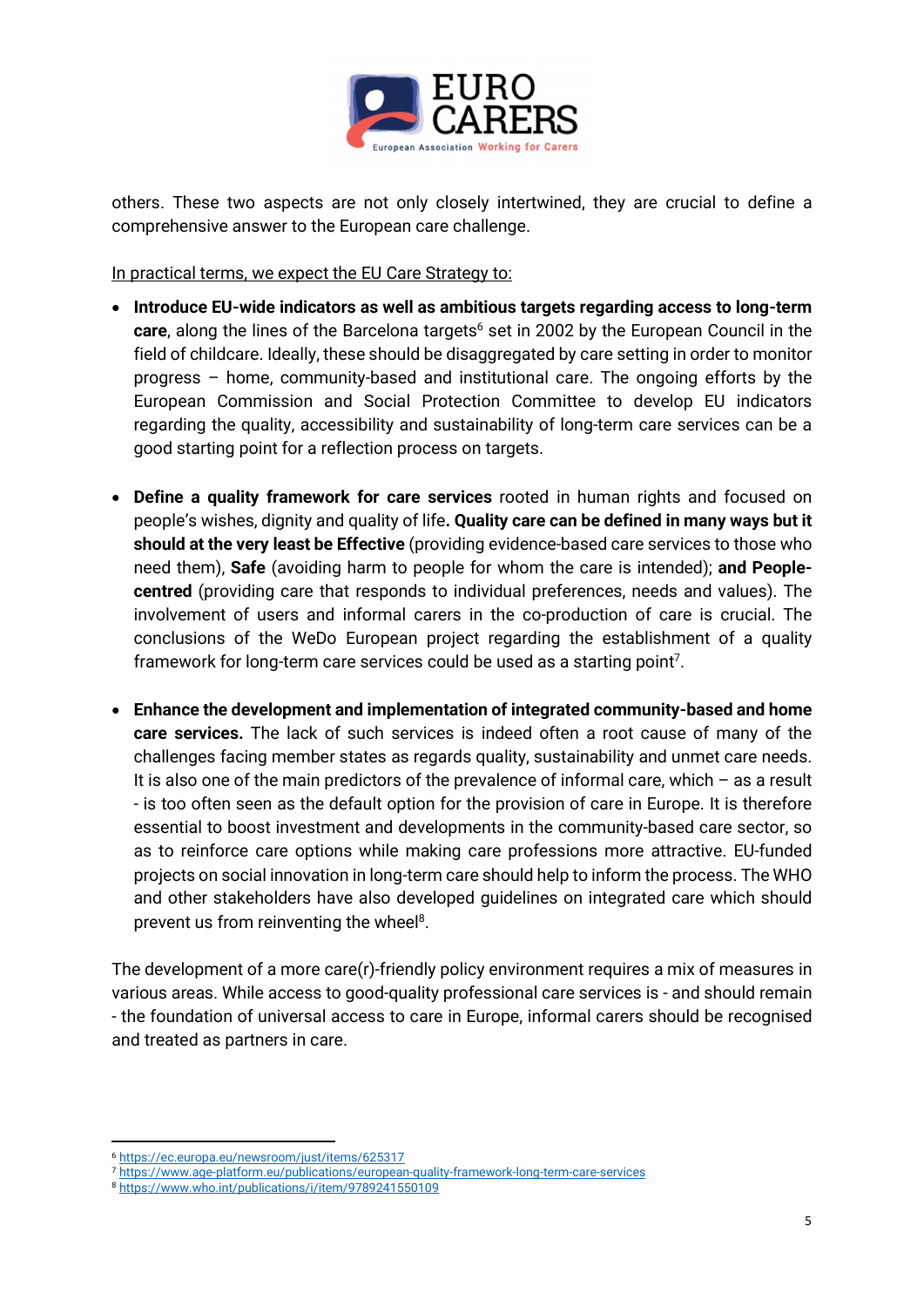

others. These two aspects are not only closely intertwined, they are crucial to define a comprehensive answer to the European care challenge.

In practical terms, we expect the EU Care Strategy to:

- Introduce EU-wide indicators as well as ambitious targets regarding access to long-term care, along the lines of the Barcelona targets<sup>6</sup> set in 2002 by the European Council in the field of childcare. Ideally, these should be disaggregated by care setting in order to monitor progress – home, community-based and institutional care. The ongoing efforts by the European Commission and Social Protection Committee to develop EU indicators regarding the quality, accessibility and sustainability of long-term care services can be a good starting point for a reflection process on targets.
- Define a quality framework for care services rooted in human rights and focused on people's wishes, dignity and quality of life. Quality care can be defined in many ways but it should at the very least be Effective (providing evidence-based care services to those who need them), Safe (avoiding harm to people for whom the care is intended); and Peoplecentred (providing care that responds to individual preferences, needs and values). The involvement of users and informal carers in the co-production of care is crucial. The conclusions of the WeDo European project regarding the establishment of a quality framework for long-term care services could be used as a starting point<sup>7</sup>.
- Enhance the development and implementation of integrated community-based and home care services. The lack of such services is indeed often a root cause of many of the challenges facing member states as regards quality, sustainability and unmet care needs. It is also one of the main predictors of the prevalence of informal care, which  $-$  as a result - is too often seen as the default option for the provision of care in Europe. It is therefore essential to boost investment and developments in the community-based care sector, so as to reinforce care options while making care professions more attractive. EU-funded projects on social innovation in long-term care should help to inform the process. The WHO and other stakeholders have also developed guidelines on integrated care which should prevent us from reinventing the wheel<sup>8</sup>.

The development of a more care(r)-friendly policy environment requires a mix of measures in various areas. While access to good-quality professional care services is - and should remain - the foundation of universal access to care in Europe, informal carers should be recognised and treated as partners in care.

<sup>6</sup> https://ec.europa.eu/newsroom/just/items/625317

<sup>7</sup> https://www.age-platform.eu/publications/european-quality-framework-long-term-care-services

<sup>8</sup> https://www.who.int/publications/i/item/9789241550109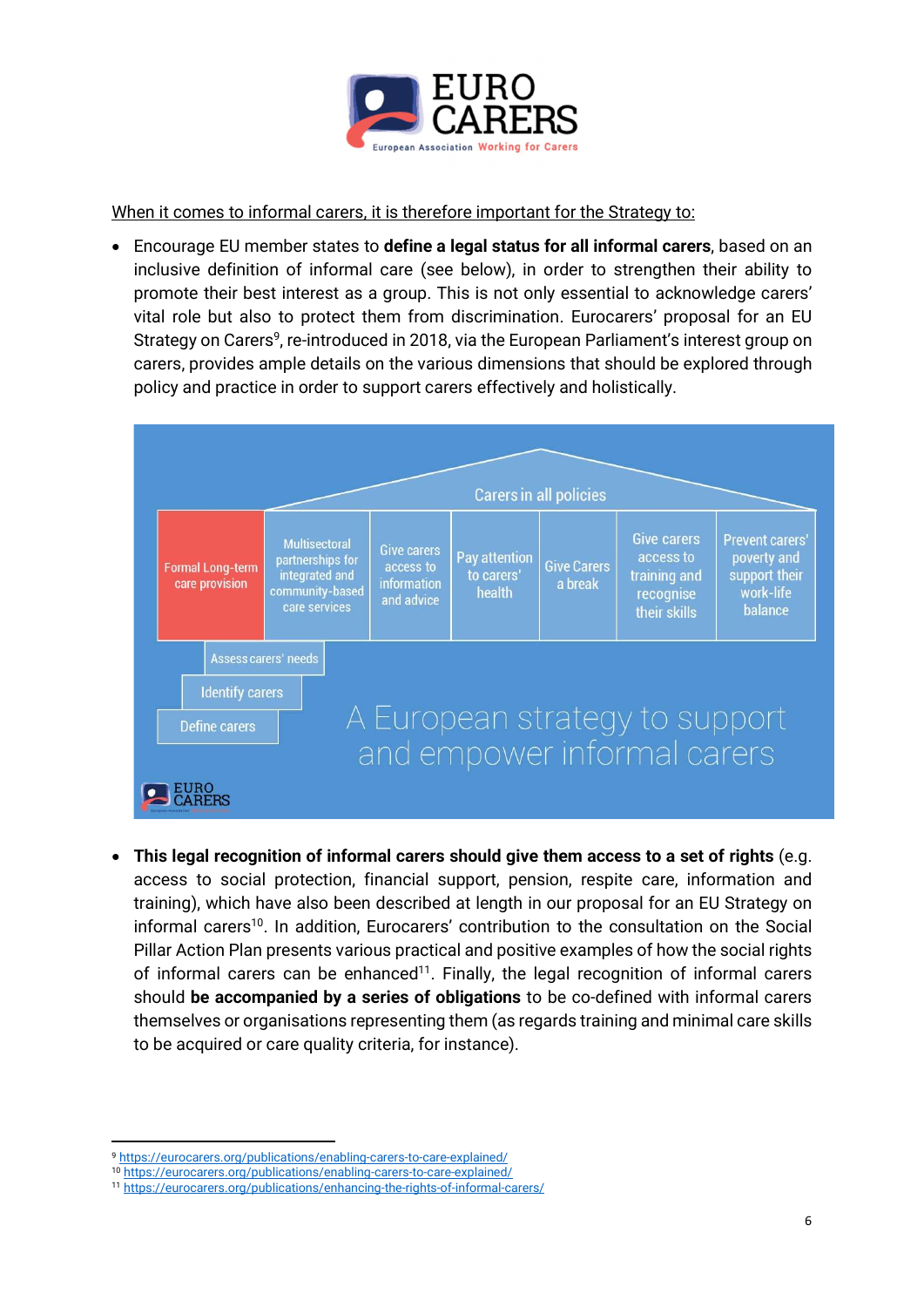

When it comes to informal carers, it is therefore important for the Strategy to:

 Encourage EU member states to define a legal status for all informal carers, based on an inclusive definition of informal care (see below), in order to strengthen their ability to promote their best interest as a group. This is not only essential to acknowledge carers' vital role but also to protect them from discrimination. Eurocarers' proposal for an EU Strategy on Carers<sup>9</sup>, re-introduced in 2018, via the European Parliament's interest group on carers, provides ample details on the various dimensions that should be explored through policy and practice in order to support carers effectively and holistically.



 This legal recognition of informal carers should give them access to a set of rights (e.g. access to social protection, financial support, pension, respite care, information and training), which have also been described at length in our proposal for an EU Strategy on informal carers<sup>10</sup>. In addition, Eurocarers' contribution to the consultation on the Social Pillar Action Plan presents various practical and positive examples of how the social rights of informal carers can be enhanced<sup>11</sup>. Finally, the legal recognition of informal carers should be accompanied by a series of obligations to be co-defined with informal carers themselves or organisations representing them (as regards training and minimal care skills to be acquired or care quality criteria, for instance).

<sup>9</sup> https://eurocarers.org/publications/enabling-carers-to-care-explained/

<sup>10</sup> https://eurocarers.org/publications/enabling-carers-to-care-explained/

<sup>11</sup> https://eurocarers.org/publications/enhancing-the-rights-of-informal-carers/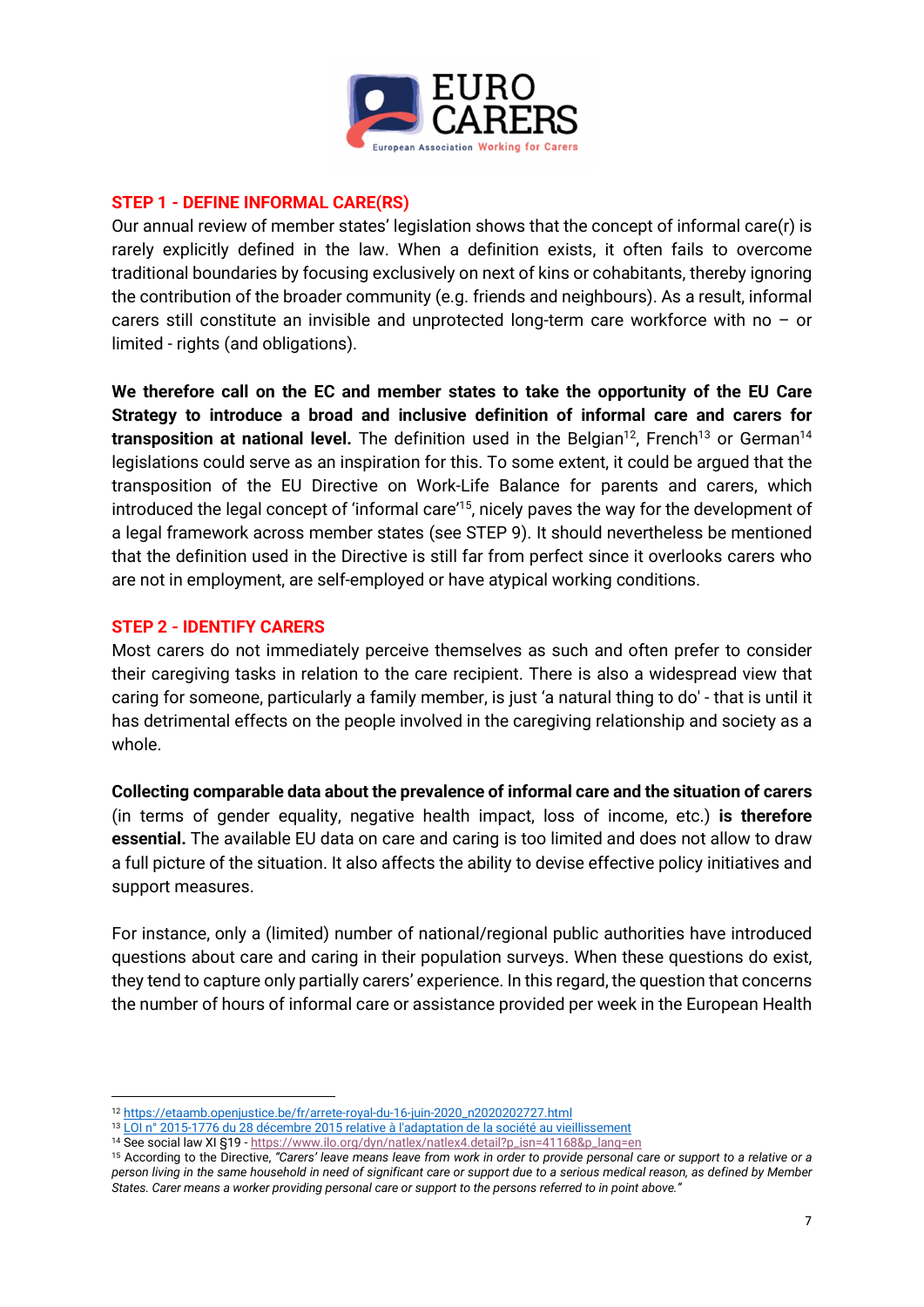

#### STEP 1 - DEFINE INFORMAL CARE(RS)

Our annual review of member states' legislation shows that the concept of informal care(r) is rarely explicitly defined in the law. When a definition exists, it often fails to overcome traditional boundaries by focusing exclusively on next of kins or cohabitants, thereby ignoring the contribution of the broader community (e.g. friends and neighbours). As a result, informal carers still constitute an invisible and unprotected long-term care workforce with no – or limited - rights (and obligations).

We therefore call on the EC and member states to take the opportunity of the EU Care Strategy to introduce a broad and inclusive definition of informal care and carers for transposition at national level. The definition used in the Belgian<sup>12</sup>, French<sup>13</sup> or German<sup>14</sup> legislations could serve as an inspiration for this. To some extent, it could be argued that the transposition of the EU Directive on Work-Life Balance for parents and carers, which introduced the legal concept of 'informal care'<sup>15</sup>, nicely paves the way for the development of a legal framework across member states (see STEP 9). It should nevertheless be mentioned that the definition used in the Directive is still far from perfect since it overlooks carers who are not in employment, are self-employed or have atypical working conditions.

#### STEP 2 - IDENTIFY CARERS

Most carers do not immediately perceive themselves as such and often prefer to consider their caregiving tasks in relation to the care recipient. There is also a widespread view that caring for someone, particularly a family member, is just 'a natural thing to do' - that is until it has detrimental effects on the people involved in the caregiving relationship and society as a whole.

Collecting comparable data about the prevalence of informal care and the situation of carers (in terms of gender equality, negative health impact, loss of income, etc.) is therefore essential. The available EU data on care and caring is too limited and does not allow to draw a full picture of the situation. It also affects the ability to devise effective policy initiatives and support measures.

For instance, only a (limited) number of national/regional public authorities have introduced questions about care and caring in their population surveys. When these questions do exist, they tend to capture only partially carers' experience. In this regard, the question that concerns the number of hours of informal care or assistance provided per week in the European Health

<sup>12</sup> https://etaamb.openjustice.be/fr/arrete-royal-du-16-juin-2020\_n2020202727.html

<sup>&</sup>lt;sup>13</sup> LOI n° 2015-1776 du 28 décembre 2015 relative à l'adaptation de la société au vieillissement

<sup>14</sup> See social law XI §19 - https://www.ilo.org/dyn/natlex/natlex4.detail?p\_isn=41168&p\_lang=en

<sup>&</sup>lt;sup>15</sup> According to the Directive, "Carers' leave means leave from work in order to provide personal care or support to a relative or a person living in the same household in need of significant care or support due to a serious medical reason, as defined by Member States. Carer means a worker providing personal care or support to the persons referred to in point above."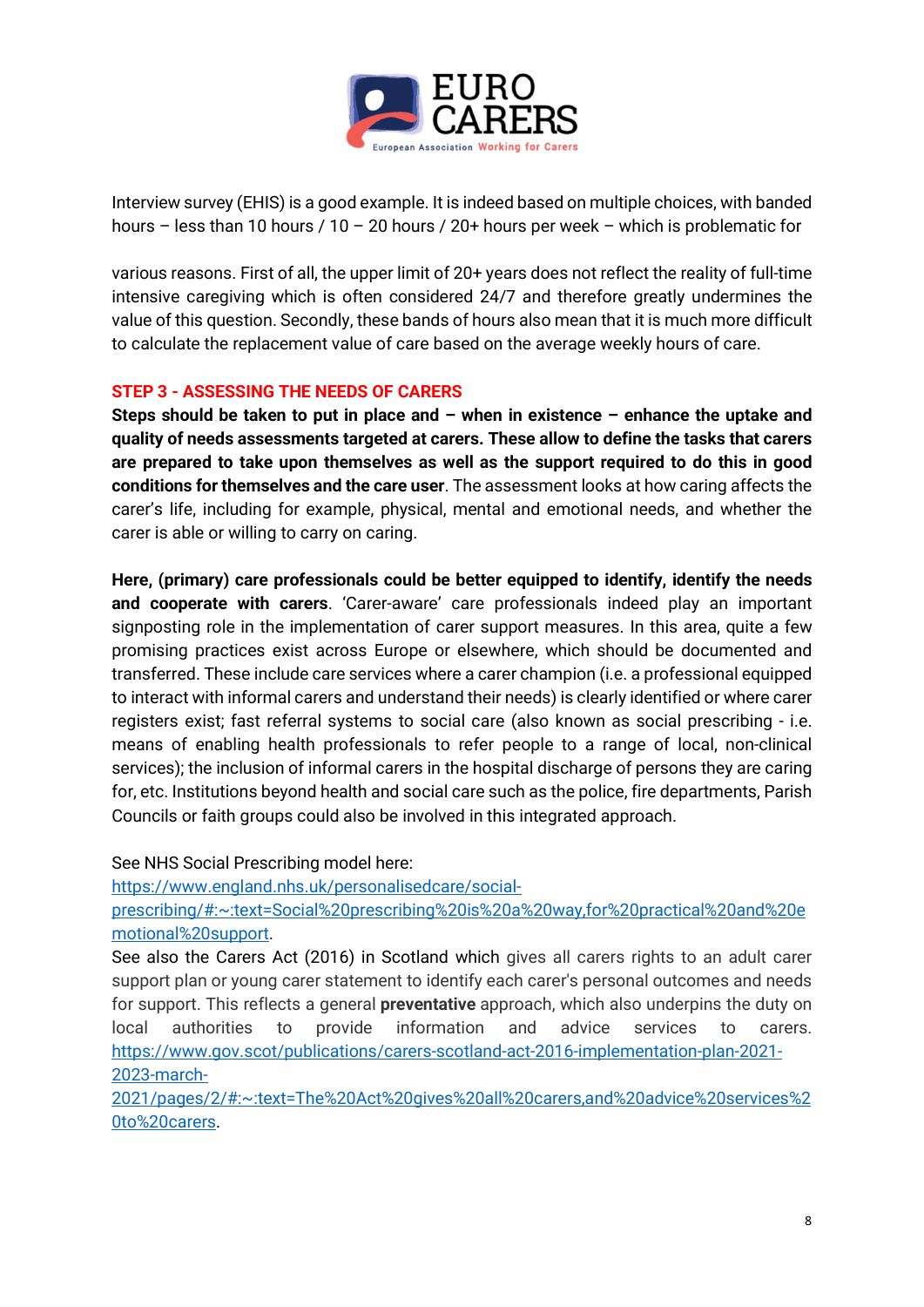

Interview survey (EHIS) is a good example. It is indeed based on multiple choices, with banded hours – less than 10 hours / 10 – 20 hours / 20+ hours per week – which is problematic for

various reasons. First of all, the upper limit of 20+ years does not reflect the reality of full-time intensive caregiving which is often considered 24/7 and therefore greatly undermines the value of this question. Secondly, these bands of hours also mean that it is much more difficult to calculate the replacement value of care based on the average weekly hours of care.

#### STEP 3 - ASSESSING THE NEEDS OF CARERS

Steps should be taken to put in place and – when in existence – enhance the uptake and quality of needs assessments targeted at carers. These allow to define the tasks that carers are prepared to take upon themselves as well as the support required to do this in good conditions for themselves and the care user. The assessment looks at how caring affects the carer's life, including for example, physical, mental and emotional needs, and whether the carer is able or willing to carry on caring.

Here, (primary) care professionals could be better equipped to identify, identify the needs and cooperate with carers. 'Carer-aware' care professionals indeed play an important signposting role in the implementation of carer support measures. In this area, quite a few promising practices exist across Europe or elsewhere, which should be documented and transferred. These include care services where a carer champion (i.e. a professional equipped to interact with informal carers and understand their needs) is clearly identified or where carer registers exist; fast referral systems to social care (also known as social prescribing - i.e. means of enabling health professionals to refer people to a range of local, non-clinical services); the inclusion of informal carers in the hospital discharge of persons they are caring for, etc. Institutions beyond health and social care such as the police, fire departments, Parish Councils or faith groups could also be involved in this integrated approach.

See NHS Social Prescribing model here:

https://www.england.nhs.uk/personalisedcare/social-

prescribing/#:~:text=Social%20prescribing%20is%20a%20way,for%20practical%20and%20e motional%20support.

See also the Carers Act (2016) in Scotland which gives all carers rights to an adult carer support plan or young carer statement to identify each carer's personal outcomes and needs for support. This reflects a general **preventative** approach, which also underpins the duty on local authorities to provide information and advice services to carers. https://www.gov.scot/publications/carers-scotland-act-2016-implementation-plan-2021- 2023-march-

2021/pages/2/#:~:text=The%20Act%20gives%20all%20carers,and%20advice%20services%2 0to%20carers.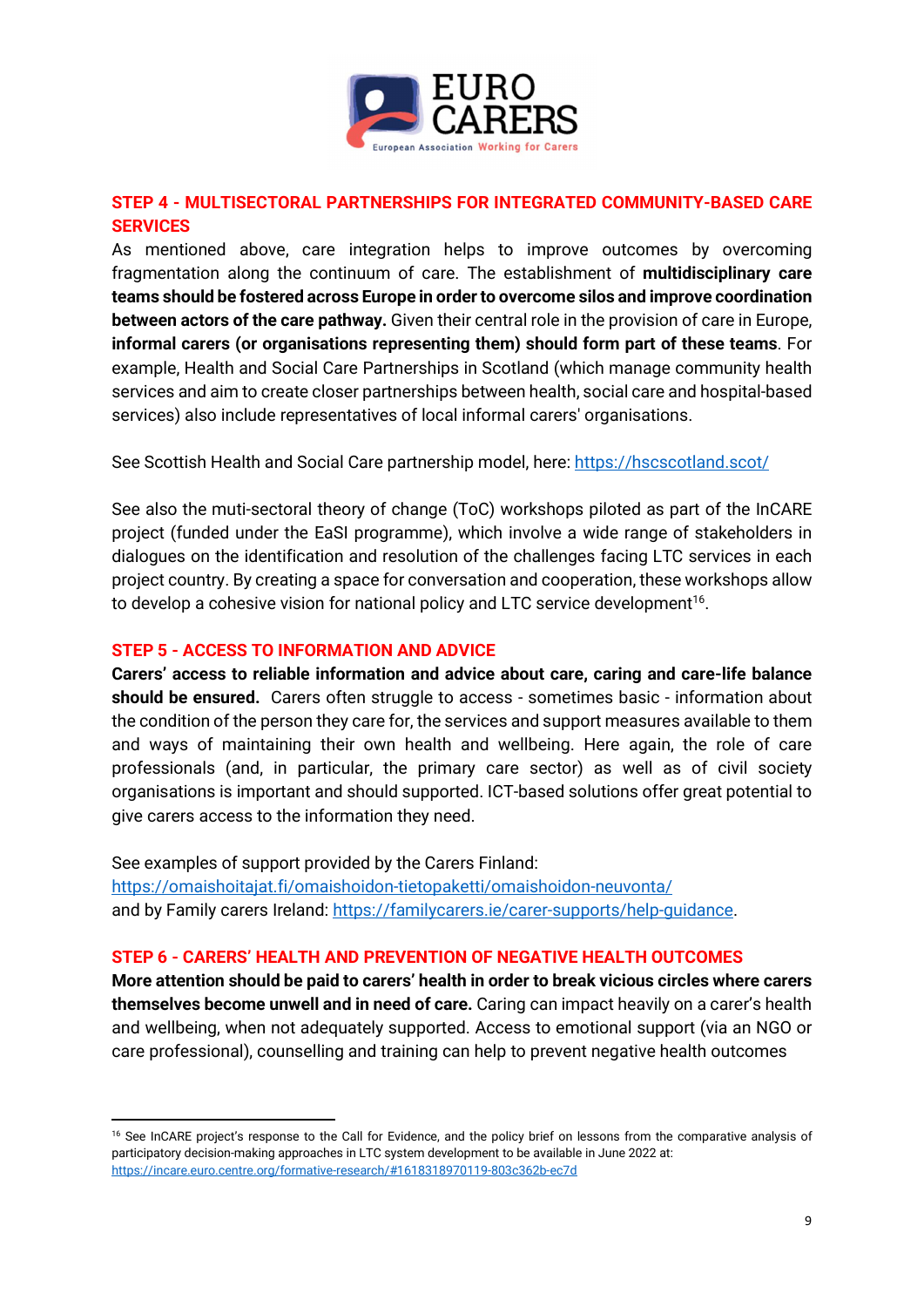

#### STEP 4 - MULTISECTORAL PARTNERSHIPS FOR INTEGRATED COMMUNITY-BASED CARE **SERVICES**

As mentioned above, care integration helps to improve outcomes by overcoming fragmentation along the continuum of care. The establishment of multidisciplinary care teams should be fostered across Europe in order to overcome silos and improve coordination between actors of the care pathway. Given their central role in the provision of care in Europe, informal carers (or organisations representing them) should form part of these teams. For example, Health and Social Care Partnerships in Scotland (which manage community health services and aim to create closer partnerships between health, social care and hospital-based services) also include representatives of local informal carers' organisations.

See Scottish Health and Social Care partnership model, here: https://hscscotland.scot/

See also the muti-sectoral theory of change (ToC) workshops piloted as part of the InCARE project (funded under the EaSI programme), which involve a wide range of stakeholders in dialogues on the identification and resolution of the challenges facing LTC services in each project country. By creating a space for conversation and cooperation, these workshops allow to develop a cohesive vision for national policy and LTC service development<sup>16</sup>.

#### STEP 5 - ACCESS TO INFORMATION AND ADVICE

Carers' access to reliable information and advice about care, caring and care-life balance should be ensured. Carers often struggle to access - sometimes basic - information about the condition of the person they care for, the services and support measures available to them and ways of maintaining their own health and wellbeing. Here again, the role of care professionals (and, in particular, the primary care sector) as well as of civil society organisations is important and should supported. ICT-based solutions offer great potential to give carers access to the information they need.

See examples of support provided by the Carers Finland: https://omaishoitajat.fi/omaishoidon-tietopaketti/omaishoidon-neuvonta/ and by Family carers Ireland: https://familycarers.ie/carer-supports/help-guidance.

#### STEP 6 - CARERS' HEALTH AND PREVENTION OF NEGATIVE HEALTH OUTCOMES

More attention should be paid to carers' health in order to break vicious circles where carers themselves become unwell and in need of care. Caring can impact heavily on a carer's health and wellbeing, when not adequately supported. Access to emotional support (via an NGO or care professional), counselling and training can help to prevent negative health outcomes

<sup>&</sup>lt;sup>16</sup> See InCARE project's response to the Call for Evidence, and the policy brief on lessons from the comparative analysis of participatory decision-making approaches in LTC system development to be available in June 2022 at: https://incare.euro.centre.org/formative-research/#1618318970119-803c362b-ec7d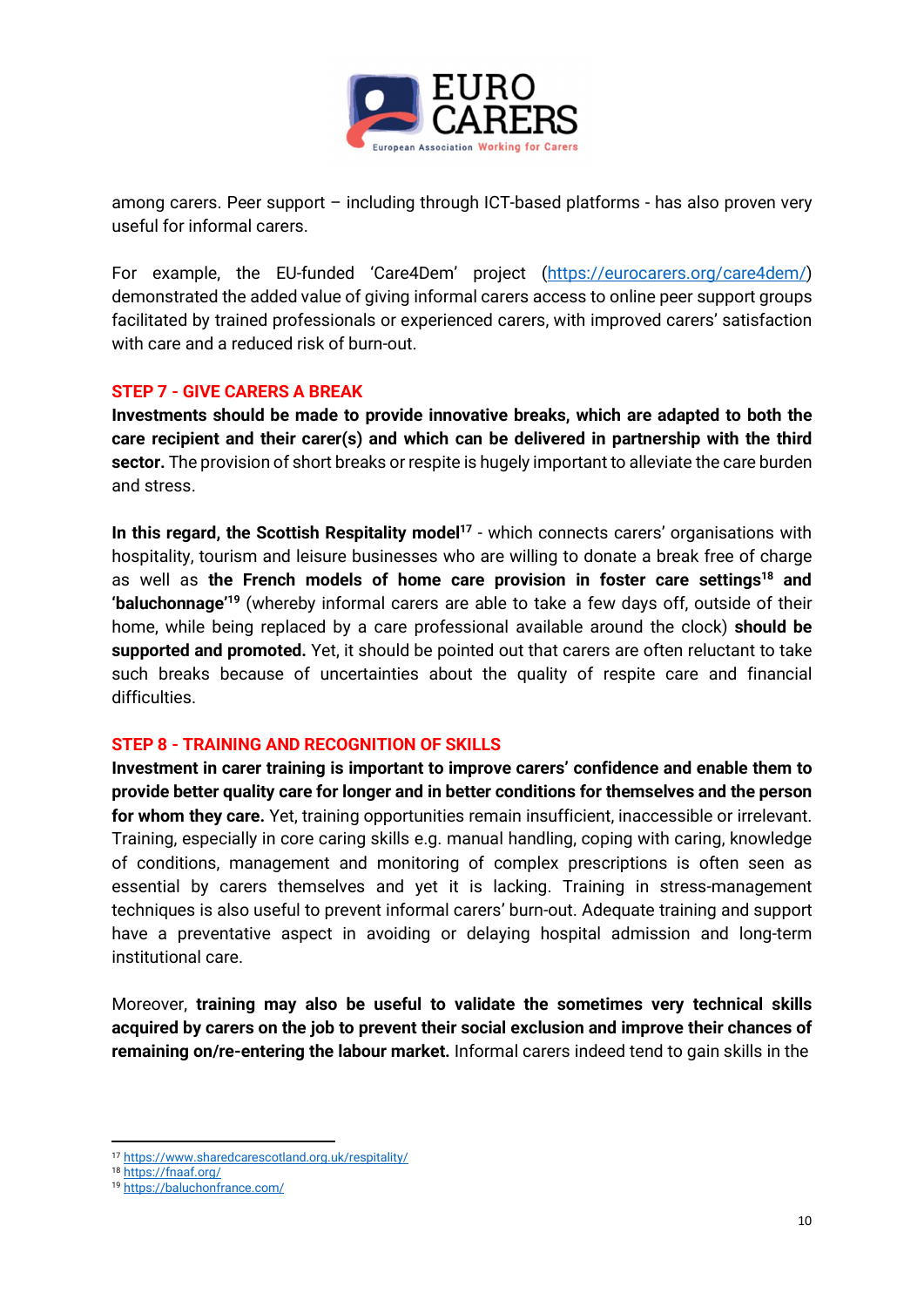

among carers. Peer support – including through ICT-based platforms - has also proven very useful for informal carers.

For example, the EU-funded 'Care4Dem' project (https://eurocarers.org/care4dem/) demonstrated the added value of giving informal carers access to online peer support groups facilitated by trained professionals or experienced carers, with improved carers' satisfaction with care and a reduced risk of burn-out.

#### STEP 7 - GIVE CARERS A BREAK

Investments should be made to provide innovative breaks, which are adapted to both the care recipient and their carer(s) and which can be delivered in partnership with the third sector. The provision of short breaks or respite is hugely important to alleviate the care burden and stress.

In this regard, the Scottish Respitality model<sup>17</sup> - which connects carers' organisations with hospitality, tourism and leisure businesses who are willing to donate a break free of charge as well as the French models of home care provision in foster care settings<sup>18</sup> and 'baluchonnage'<sup>19</sup> (whereby informal carers are able to take a few days off, outside of their home, while being replaced by a care professional available around the clock) should be supported and promoted. Yet, it should be pointed out that carers are often reluctant to take such breaks because of uncertainties about the quality of respite care and financial difficulties.

#### STEP 8 - TRAINING AND RECOGNITION OF SKILLS

Investment in carer training is important to improve carers' confidence and enable them to provide better quality care for longer and in better conditions for themselves and the person for whom they care. Yet, training opportunities remain insufficient, inaccessible or irrelevant. Training, especially in core caring skills e.g. manual handling, coping with caring, knowledge of conditions, management and monitoring of complex prescriptions is often seen as essential by carers themselves and yet it is lacking. Training in stress-management techniques is also useful to prevent informal carers' burn-out. Adequate training and support have a preventative aspect in avoiding or delaying hospital admission and long-term institutional care.

Moreover, training may also be useful to validate the sometimes very technical skills acquired by carers on the job to prevent their social exclusion and improve their chances of remaining on/re-entering the labour market. Informal carers indeed tend to gain skills in the

<sup>17</sup> https://www.sharedcarescotland.org.uk/respitality/

<sup>18</sup> https://fnaaf.org/

<sup>19</sup> https://baluchonfrance.com/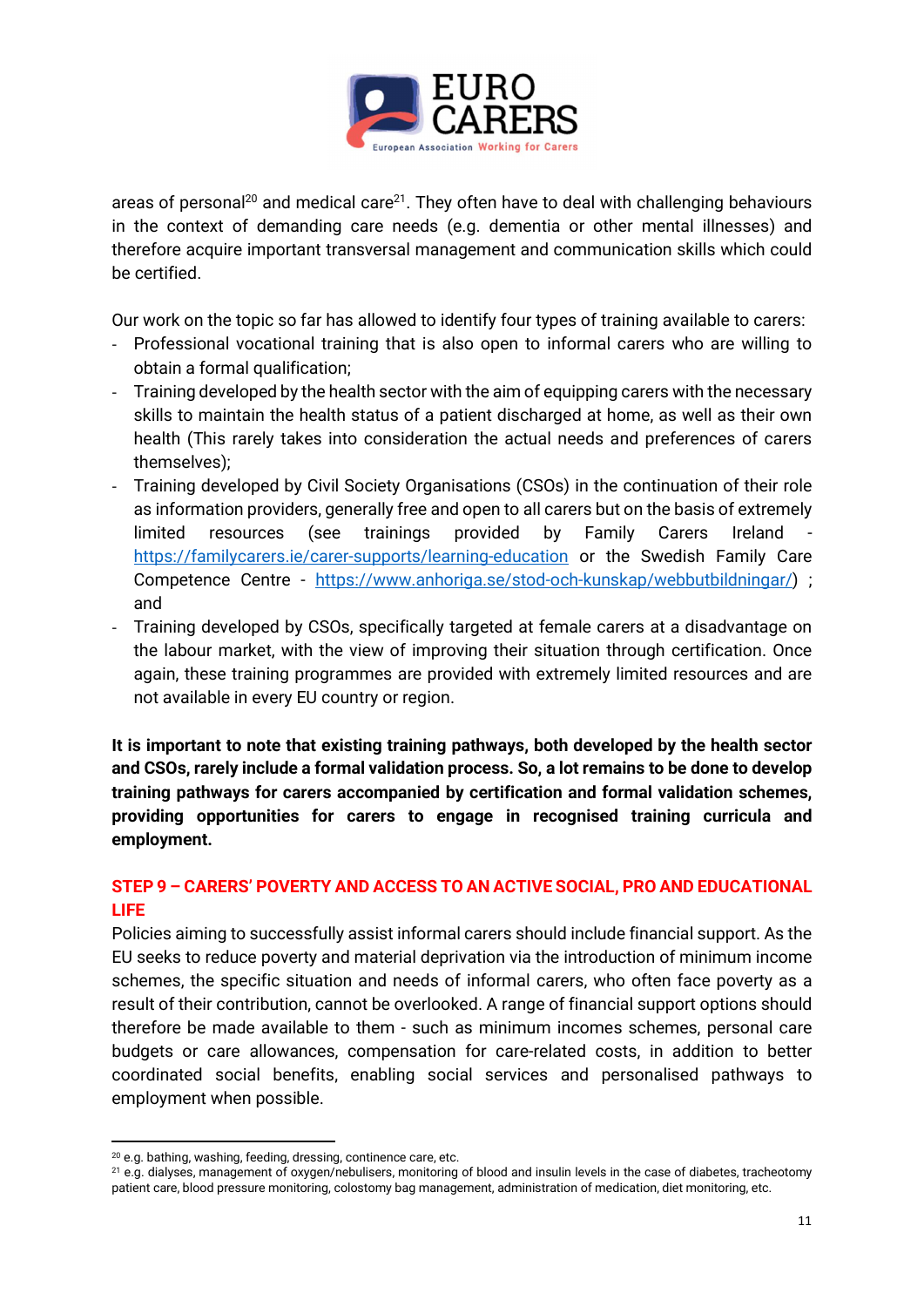

areas of personal<sup>20</sup> and medical care<sup>21</sup>. They often have to deal with challenging behaviours in the context of demanding care needs (e.g. dementia or other mental illnesses) and therefore acquire important transversal management and communication skills which could be certified.

Our work on the topic so far has allowed to identify four types of training available to carers:

- Professional vocational training that is also open to informal carers who are willing to obtain a formal qualification;
- Training developed by the health sector with the aim of equipping carers with the necessary skills to maintain the health status of a patient discharged at home, as well as their own health (This rarely takes into consideration the actual needs and preferences of carers themselves);
- Training developed by Civil Society Organisations (CSOs) in the continuation of their role as information providers, generally free and open to all carers but on the basis of extremely limited resources (see trainings provided by Family Carers Ireland https://familycarers.ie/carer-supports/learning-education or the Swedish Family Care Competence Centre - https://www.anhoriga.se/stod-och-kunskap/webbutbildningar/) ; and
- Training developed by CSOs, specifically targeted at female carers at a disadvantage on the labour market, with the view of improving their situation through certification. Once again, these training programmes are provided with extremely limited resources and are not available in every EU country or region.

It is important to note that existing training pathways, both developed by the health sector and CSOs, rarely include a formal validation process. So, a lot remains to be done to develop training pathways for carers accompanied by certification and formal validation schemes, providing opportunities for carers to engage in recognised training curricula and employment.

#### STEP 9 – CARERS' POVERTY AND ACCESS TO AN ACTIVE SOCIAL, PRO AND EDUCATIONAL LIFE

Policies aiming to successfully assist informal carers should include financial support. As the EU seeks to reduce poverty and material deprivation via the introduction of minimum income schemes, the specific situation and needs of informal carers, who often face poverty as a result of their contribution, cannot be overlooked. A range of financial support options should therefore be made available to them - such as minimum incomes schemes, personal care budgets or care allowances, compensation for care-related costs, in addition to better coordinated social benefits, enabling social services and personalised pathways to employment when possible.

<sup>20</sup> e.g. bathing, washing, feeding, dressing, continence care, etc.

<sup>21</sup> e.g. dialyses, management of oxygen/nebulisers, monitoring of blood and insulin levels in the case of diabetes, tracheotomy patient care, blood pressure monitoring, colostomy bag management, administration of medication, diet monitoring, etc.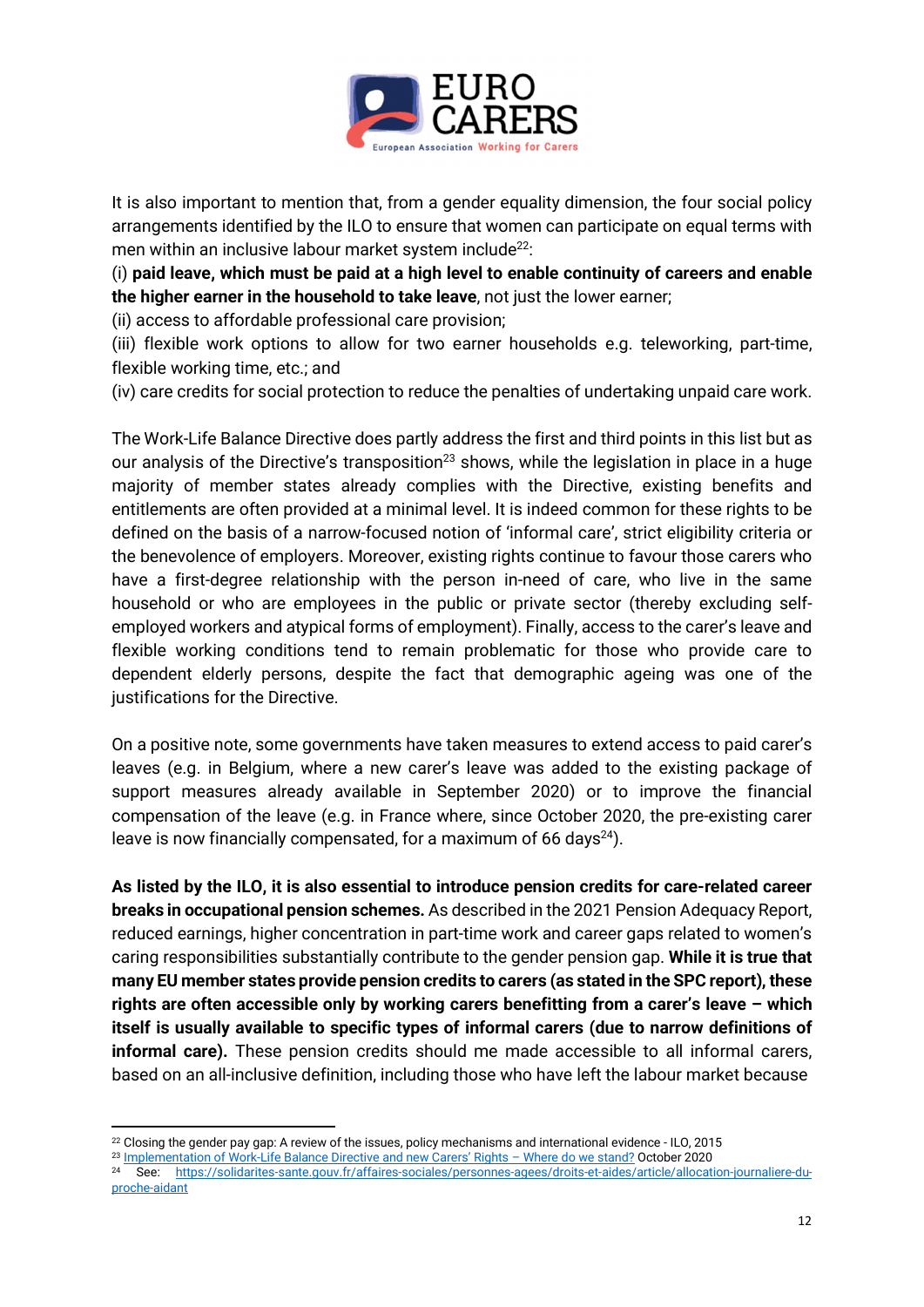

It is also important to mention that, from a gender equality dimension, the four social policy arrangements identified by the ILO to ensure that women can participate on equal terms with men within an inclusive labour market system include<sup>22</sup>:

(i) paid leave, which must be paid at a high level to enable continuity of careers and enable the higher earner in the household to take leave, not just the lower earner;

(ii) access to affordable professional care provision;

(iii) flexible work options to allow for two earner households e.g. teleworking, part-time, flexible working time, etc.; and

(iv) care credits for social protection to reduce the penalties of undertaking unpaid care work.

The Work-Life Balance Directive does partly address the first and third points in this list but as our analysis of the Directive's transposition<sup>23</sup> shows, while the legislation in place in a huge majority of member states already complies with the Directive, existing benefits and entitlements are often provided at a minimal level. It is indeed common for these rights to be defined on the basis of a narrow-focused notion of 'informal care', strict eligibility criteria or the benevolence of employers. Moreover, existing rights continue to favour those carers who have a first-degree relationship with the person in-need of care, who live in the same household or who are employees in the public or private sector (thereby excluding selfemployed workers and atypical forms of employment). Finally, access to the carer's leave and flexible working conditions tend to remain problematic for those who provide care to dependent elderly persons, despite the fact that demographic ageing was one of the justifications for the Directive.

On a positive note, some governments have taken measures to extend access to paid carer's leaves (e.g. in Belgium, where a new carer's leave was added to the existing package of support measures already available in September 2020) or to improve the financial compensation of the leave (e.g. in France where, since October 2020, the pre-existing carer leave is now financially compensated, for a maximum of 66 days<sup>24</sup>).

As listed by the ILO, it is also essential to introduce pension credits for care-related career breaks in occupational pension schemes. As described in the 2021 Pension Adequacy Report, reduced earnings, higher concentration in part-time work and career gaps related to women's caring responsibilities substantially contribute to the gender pension gap. While it is true that many EU member states provide pension credits to carers (as stated in the SPC report), these rights are often accessible only by working carers benefitting from a carer's leave – which itself is usually available to specific types of informal carers (due to narrow definitions of informal care). These pension credits should me made accessible to all informal carers, based on an all-inclusive definition, including those who have left the labour market because

<sup>&</sup>lt;sup>22</sup> Closing the gender pay gap: A review of the issues, policy mechanisms and international evidence - ILO, 2015

<sup>23</sup> Implementation of Work-Life Balance Directive and new Carers' Rights - Where do we stand? October 2020

<sup>24</sup> See: https://solidarites-sante.gouv.fr/affaires-sociales/personnes-agees/droits-et-aides/article/allocation-journaliere-duproche-aidant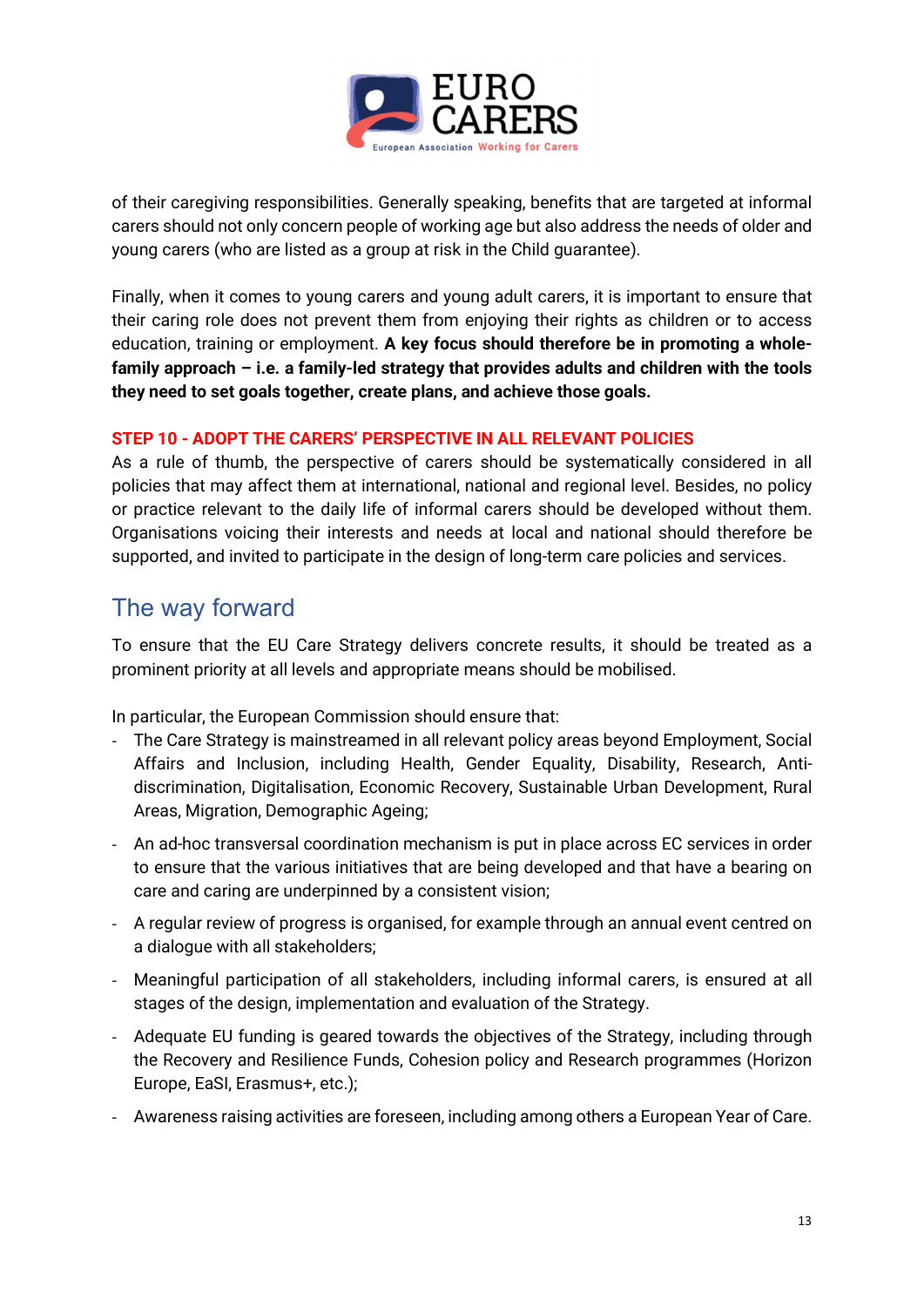

of their caregiving responsibilities. Generally speaking, benefits that are targeted at informal carers should not only concern people of working age but also address the needs of older and young carers (who are listed as a group at risk in the Child guarantee).

Finally, when it comes to young carers and young adult carers, it is important to ensure that their caring role does not prevent them from enjoying their rights as children or to access education, training or employment. A key focus should therefore be in promoting a wholefamily approach – i.e. a family-led strategy that provides adults and children with the tools they need to set goals together, create plans, and achieve those goals.

#### STEP 10 - ADOPT THE CARERS' PERSPECTIVE IN ALL RELEVANT POLICIES

As a rule of thumb, the perspective of carers should be systematically considered in all policies that may affect them at international, national and regional level. Besides, no policy or practice relevant to the daily life of informal carers should be developed without them. Organisations voicing their interests and needs at local and national should therefore be supported, and invited to participate in the design of long-term care policies and services.

## The way forward

To ensure that the EU Care Strategy delivers concrete results, it should be treated as a prominent priority at all levels and appropriate means should be mobilised.

In particular, the European Commission should ensure that:

- The Care Strategy is mainstreamed in all relevant policy areas beyond Employment, Social Affairs and Inclusion, including Health, Gender Equality, Disability, Research, Antidiscrimination, Digitalisation, Economic Recovery, Sustainable Urban Development, Rural Areas, Migration, Demographic Ageing;
- An ad-hoc transversal coordination mechanism is put in place across EC services in order to ensure that the various initiatives that are being developed and that have a bearing on care and caring are underpinned by a consistent vision;
- A regular review of progress is organised, for example through an annual event centred on a dialogue with all stakeholders;
- Meaningful participation of all stakeholders, including informal carers, is ensured at all stages of the design, implementation and evaluation of the Strategy.
- Adequate EU funding is geared towards the objectives of the Strategy, including through the Recovery and Resilience Funds, Cohesion policy and Research programmes (Horizon Europe, EaSI, Erasmus+, etc.);
- Awareness raising activities are foreseen, including among others a European Year of Care.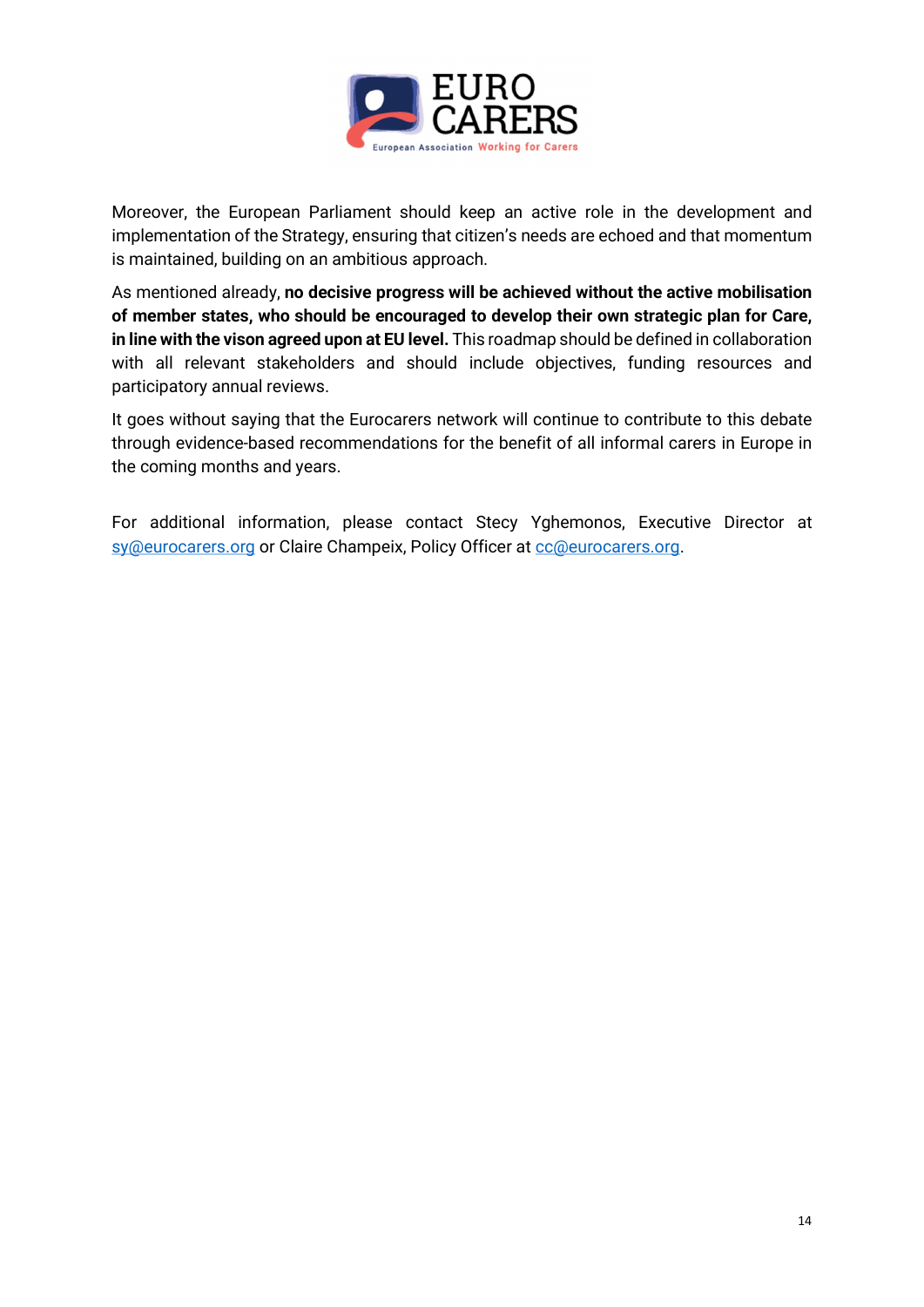

Moreover, the European Parliament should keep an active role in the development and implementation of the Strategy, ensuring that citizen's needs are echoed and that momentum is maintained, building on an ambitious approach.

As mentioned already, no decisive progress will be achieved without the active mobilisation of member states, who should be encouraged to develop their own strategic plan for Care, in line with the vison agreed upon at EU level. This roadmap should be defined in collaboration with all relevant stakeholders and should include objectives, funding resources and participatory annual reviews.

It goes without saying that the Eurocarers network will continue to contribute to this debate through evidence-based recommendations for the benefit of all informal carers in Europe in the coming months and years.

For additional information, please contact Stecy Yghemonos, Executive Director at sy@eurocarers.org or Claire Champeix, Policy Officer at cc@eurocarers.org.